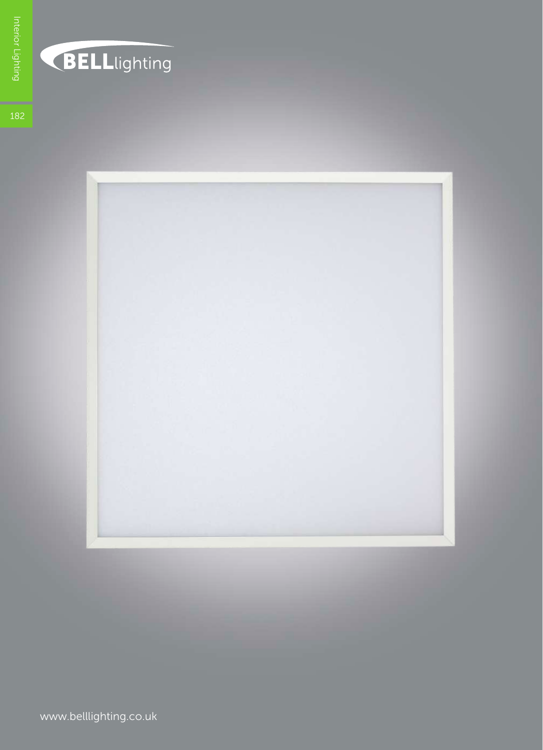

## **BELL**lighting

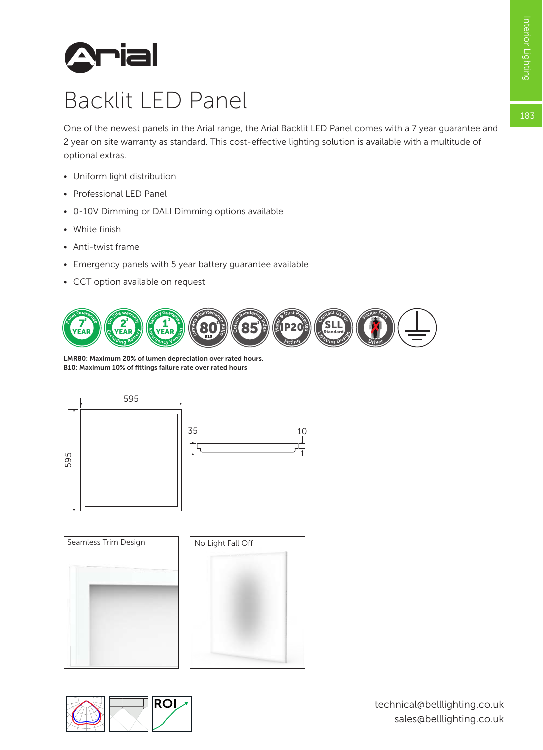183



## Backlit LED Panel

One of the newest panels in the Arial range, the Arial Backlit LED Panel comes with a 7 year guarantee and 2 year on site warranty as standard. This cost-effective lighting solution is available with a multitude of optional extras.

- Uniform light distribution
- Professional LED Panel
- 0-10V Dimming or DALI Dimming options available
- White finish
- Anti-twist frame
- Emergency panels with 5 year battery guarantee available
- CCT option available on request



LMR80: Maximum 20% of lumen depreciation over rated hours. B10: Maximum 10% of fittings failure rate over rated hours





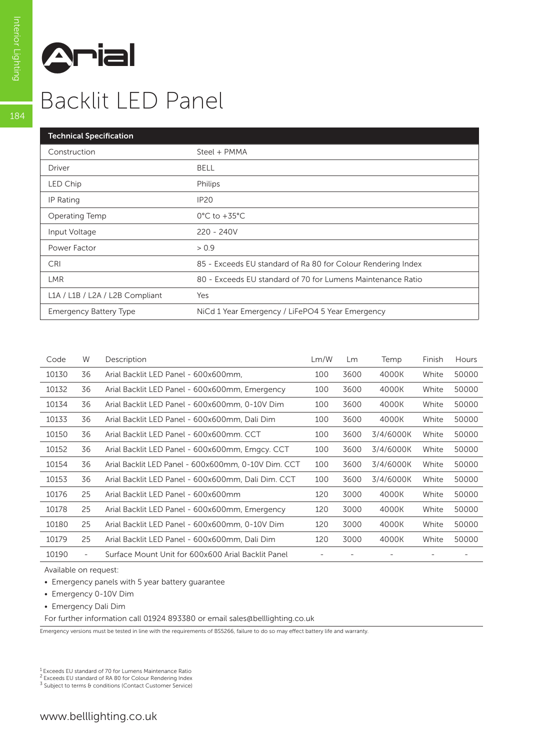

## Backlit LED Panel

| <b>Technical Specification</b>  |                                                              |
|---------------------------------|--------------------------------------------------------------|
| Construction                    | Steel + PMMA                                                 |
| <b>Driver</b>                   | <b>BELL</b>                                                  |
| LED Chip                        | Philips                                                      |
| IP Rating                       | <b>IP20</b>                                                  |
| Operating Temp                  | $0^{\circ}$ C to +35 $^{\circ}$ C                            |
| Input Voltage                   | 220 - 240V                                                   |
| Power Factor                    | > 0.9                                                        |
| <b>CRI</b>                      | 85 - Exceeds EU standard of Ra 80 for Colour Rendering Index |
| <b>LMR</b>                      | 80 - Exceeds EU standard of 70 for Lumens Maintenance Ratio  |
| L1A / L1B / L2A / L2B Compliant | Yes                                                          |
| <b>Emergency Battery Type</b>   | NiCd 1 Year Emergency / LiFePO4 5 Year Emergency             |

| Code  | W                        | Description                                         | Lm/W | Lm   | Temp      | Finish | Hours |
|-------|--------------------------|-----------------------------------------------------|------|------|-----------|--------|-------|
| 10130 | 36                       | Arial Backlit LED Panel - 600x600mm.                | 100  | 3600 | 4000K     | White  | 50000 |
| 10132 | 36                       | Arial Backlit LED Panel - 600x600mm, Emergency      | 100  | 3600 | 4000K     | White  | 50000 |
| 10134 | 36                       | Arial Backlit LED Panel - 600x600mm, 0-10V Dim      | 100  | 3600 | 4000K     | White  | 50000 |
| 10133 | 36                       | Arial Backlit LED Panel - 600x600mm, Dali Dim       | 100  | 3600 | 4000K     | White  | 50000 |
| 10150 | 36                       | Arial Backlit LED Panel - 600x600mm. CCT            | 100  | 3600 | 3/4/6000K | White  | 50000 |
| 10152 | 36                       | Arial Backlit LED Panel - 600x600mm, Emgcy. CCT     | 100  | 3600 | 3/4/6000K | White  | 50000 |
| 10154 | 36                       | Arial Backlit LED Panel - 600x600mm, 0-10V Dim, CCT | 100  | 3600 | 3/4/6000K | White  | 50000 |
| 10153 | 36                       | Arial Backlit LED Panel - 600x600mm, Dali Dim. CCT  | 100  | 3600 | 3/4/6000K | White  | 50000 |
| 10176 | 25                       | Arial Backlit LED Panel - 600x600mm                 | 120  | 3000 | 4000K     | White  | 50000 |
| 10178 | 25                       | Arial Backlit LED Panel - 600x600mm, Emergency      | 120  | 3000 | 4000K     | White  | 50000 |
| 10180 | 25                       | Arial Backlit LED Panel - 600x600mm, 0-10V Dim      | 120  | 3000 | 4000K     | White  | 50000 |
| 10179 | 25                       | Arial Backlit LED Panel - 600x600mm, Dali Dim       | 120  | 3000 | 4000K     | White  | 50000 |
| 10190 | $\overline{\phantom{a}}$ | Surface Mount Unit for 600x600 Arial Backlit Panel  |      |      |           |        |       |
|       |                          |                                                     |      |      |           |        |       |

Available on request:

- Emergency panels with 5 year battery guarantee
- Emergency 0-10V Dim
- Emergency Dali Dim

For further information call 01924 893380 or email sales@belllighting.co.uk

Emergency versions must be tested in line with the requirements of BS5266, failure to do so may effect battery life and warranty.

 $3$  Subject to terms & conditions (Contact Customer Service)

184